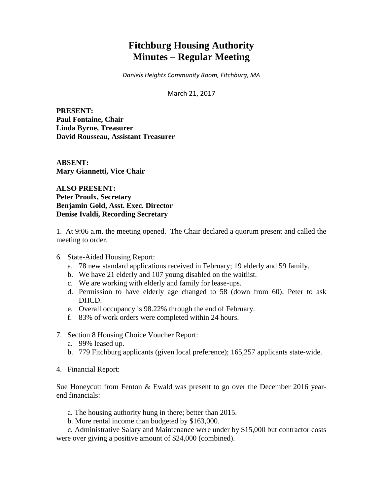# **Fitchburg Housing Authority Minutes – Regular Meeting**

*Daniels Heights Community Room, Fitchburg, MA*

March 21, 2017

**PRESENT: Paul Fontaine, Chair Linda Byrne, Treasurer David Rousseau, Assistant Treasurer**

**ABSENT: Mary Giannetti, Vice Chair**

**ALSO PRESENT: Peter Proulx, Secretary Benjamin Gold, Asst. Exec. Director Denise Ivaldi, Recording Secretary**

1. At 9:06 a.m. the meeting opened. The Chair declared a quorum present and called the meeting to order.

- 6. State-Aided Housing Report:
	- a. 78 new standard applications received in February; 19 elderly and 59 family.
	- b. We have 21 elderly and 107 young disabled on the waitlist.
	- c. We are working with elderly and family for lease-ups.
	- d. Permission to have elderly age changed to 58 (down from 60); Peter to ask DHCD.
	- e. Overall occupancy is 98.22% through the end of February.
	- f. 83% of work orders were completed within 24 hours.
- 7. Section 8 Housing Choice Voucher Report:
	- a. 99% leased up.
	- b. 779 Fitchburg applicants (given local preference); 165,257 applicants state-wide.
- 4. Financial Report:

Sue Honeycutt from Fenton & Ewald was present to go over the December 2016 yearend financials:

- a. The housing authority hung in there; better than 2015.
- b. More rental income than budgeted by \$163,000.

c. Administrative Salary and Maintenance were under by \$15,000 but contractor costs were over giving a positive amount of \$24,000 (combined).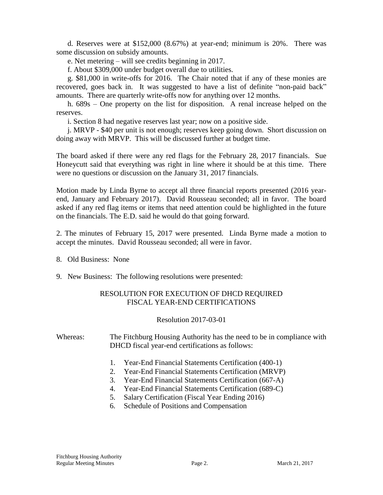d. Reserves were at \$152,000 (8.67%) at year-end; minimum is 20%. There was some discussion on subsidy amounts.

e. Net metering – will see credits beginning in 2017.

f. About \$309,000 under budget overall due to utilities.

g. \$81,000 in write-offs for 2016. The Chair noted that if any of these monies are recovered, goes back in. It was suggested to have a list of definite "non-paid back" amounts. There are quarterly write-offs now for anything over 12 months.

h. 689s – One property on the list for disposition. A renal increase helped on the reserves.

i. Section 8 had negative reserves last year; now on a positive side.

j. MRVP - \$40 per unit is not enough; reserves keep going down. Short discussion on doing away with MRVP. This will be discussed further at budget time.

The board asked if there were any red flags for the February 28, 2017 financials. Sue Honeycutt said that everything was right in line where it should be at this time. There were no questions or discussion on the January 31, 2017 financials.

Motion made by Linda Byrne to accept all three financial reports presented (2016 yearend, January and February 2017). David Rousseau seconded; all in favor. The board asked if any red flag items or items that need attention could be highlighted in the future on the financials. The E.D. said he would do that going forward.

2. The minutes of February 15, 2017 were presented. Linda Byrne made a motion to accept the minutes. David Rousseau seconded; all were in favor.

- 8. Old Business: None
- 9. New Business: The following resolutions were presented:

# RESOLUTION FOR EXECUTION OF DHCD REQUIRED FISCAL YEAR-END CERTIFICATIONS

Resolution 2017-03-01

Whereas: The Fitchburg Housing Authority has the need to be in compliance with DHCD fiscal year-end certifications as follows:

- 1. Year-End Financial Statements Certification (400-1)
- 2. Year-End Financial Statements Certification (MRVP)
- 3. Year-End Financial Statements Certification (667-A)
- 4. Year-End Financial Statements Certification (689-C)
- 5. Salary Certification (Fiscal Year Ending 2016)
- 6. Schedule of Positions and Compensation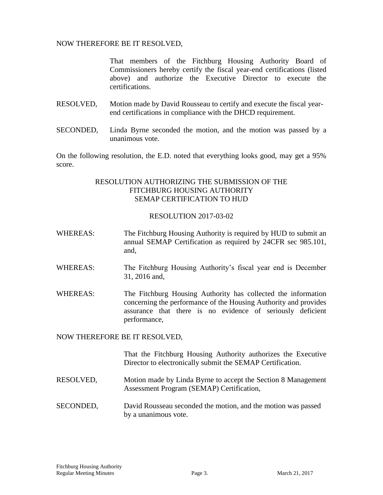### NOW THEREFORE BE IT RESOLVED,

That members of the Fitchburg Housing Authority Board of Commissioners hereby certify the fiscal year-end certifications (listed above) and authorize the Executive Director to execute the certifications.

- RESOLVED, Motion made by David Rousseau to certify and execute the fiscal yearend certifications in compliance with the DHCD requirement.
- SECONDED, Linda Byrne seconded the motion, and the motion was passed by a unanimous vote.

On the following resolution, the E.D. noted that everything looks good, may get a 95% score.

## RESOLUTION AUTHORIZING THE SUBMISSION OF THE FITCHBURG HOUSING AUTHORITY SEMAP CERTIFICATION TO HUD

#### RESOLUTION 2017-03-02

- WHEREAS: The Fitchburg Housing Authority is required by HUD to submit an annual SEMAP Certification as required by 24CFR sec 985.101, and,
- WHEREAS: The Fitchburg Housing Authority's fiscal year end is December 31, 2016 and,
- WHEREAS: The Fitchburg Housing Authority has collected the information concerning the performance of the Housing Authority and provides assurance that there is no evidence of seriously deficient performance,

#### NOW THEREFORE BE IT RESOLVED,

That the Fitchburg Housing Authority authorizes the Executive Director to electronically submit the SEMAP Certification.

- RESOLVED, Motion made by Linda Byrne to accept the Section 8 Management Assessment Program (SEMAP) Certification,
- SECONDED, David Rousseau seconded the motion, and the motion was passed by a unanimous vote.